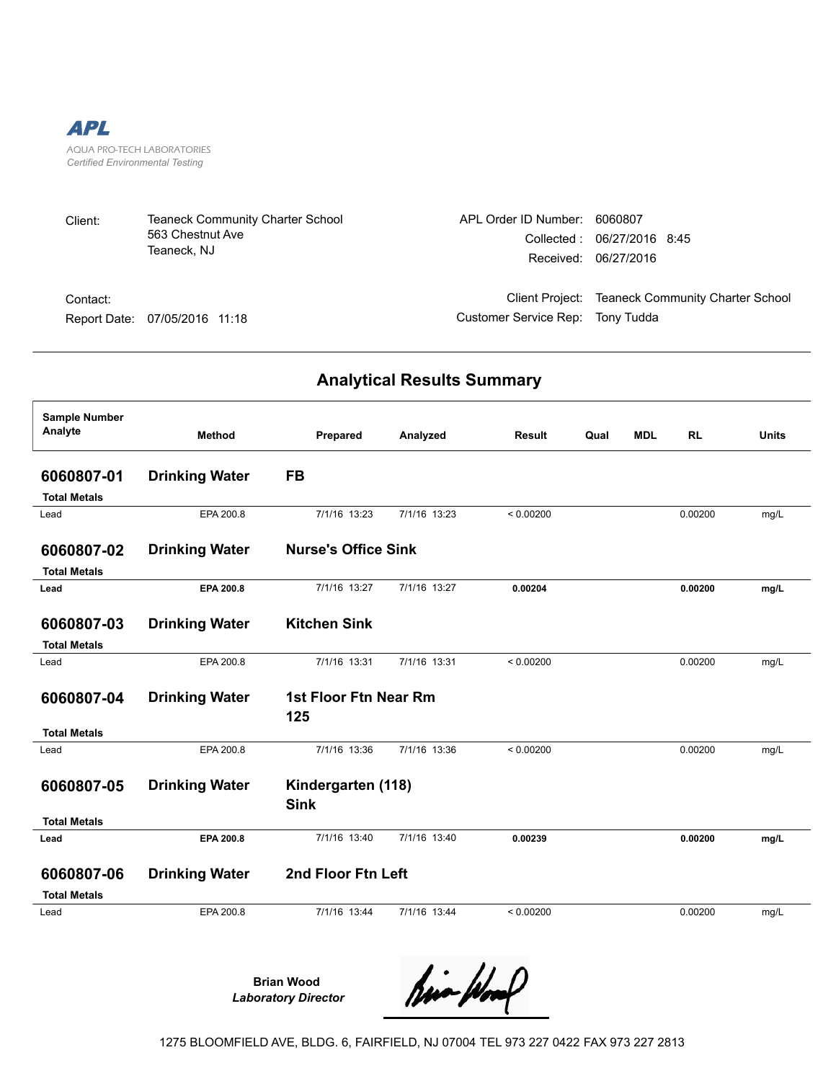

| Client: | Teaneck Community Charter School | APL Order ID Number: |
|---------|----------------------------------|----------------------|
|         | 563 Chestnut Ave                 | Collected :          |
|         | Teaneck. NJ                      | Received:            |

Contact: Report Date: 07/05/2016 11:18 Customer Service Rep: Tony Tudda

Client Project: Teaneck Community Charter School

6060807

06/27/2016 8:45 06/27/2016

## **Analytical Results Summary**

| <b>Sample Number</b> |                       |                            |              |           |      |            |           |              |
|----------------------|-----------------------|----------------------------|--------------|-----------|------|------------|-----------|--------------|
| Analyte              | <b>Method</b>         | Prepared                   | Analyzed     | Result    | Qual | <b>MDL</b> | <b>RL</b> | <b>Units</b> |
| 6060807-01           | <b>Drinking Water</b> | <b>FB</b>                  |              |           |      |            |           |              |
|                      |                       |                            |              |           |      |            |           |              |
| <b>Total Metals</b>  |                       |                            |              |           |      |            |           |              |
| Lead                 | EPA 200.8             | 7/1/16 13:23               | 7/1/16 13:23 | < 0.00200 |      |            | 0.00200   | mg/L         |
| 6060807-02           | <b>Drinking Water</b> | <b>Nurse's Office Sink</b> |              |           |      |            |           |              |
| <b>Total Metals</b>  |                       |                            |              |           |      |            |           |              |
| Lead                 | EPA 200.8             | 7/1/16 13:27               | 7/1/16 13:27 | 0.00204   |      |            | 0.00200   | mg/L         |
|                      |                       |                            |              |           |      |            |           |              |
| 6060807-03           | <b>Drinking Water</b> | <b>Kitchen Sink</b>        |              |           |      |            |           |              |
| <b>Total Metals</b>  |                       |                            |              |           |      |            |           |              |
| Lead                 | EPA 200.8             | 7/1/16 13:31               | 7/1/16 13:31 | < 0.00200 |      |            | 0.00200   | mg/L         |
|                      |                       |                            |              |           |      |            |           |              |
| 6060807-04           | <b>Drinking Water</b> | 1st Floor Ftn Near Rm      |              |           |      |            |           |              |
|                      |                       | 125                        |              |           |      |            |           |              |
| <b>Total Metals</b>  |                       |                            |              |           |      |            |           |              |
| Lead                 | EPA 200.8             | 7/1/16 13:36               | 7/1/16 13:36 | < 0.00200 |      |            | 0.00200   | mg/L         |
| 6060807-05           | <b>Drinking Water</b> | Kindergarten (118)         |              |           |      |            |           |              |
|                      |                       | <b>Sink</b>                |              |           |      |            |           |              |
| <b>Total Metals</b>  |                       |                            |              |           |      |            |           |              |
| Lead                 | EPA 200.8             | 7/1/16 13:40               | 7/1/16 13:40 | 0.00239   |      |            | 0.00200   | mg/L         |
|                      |                       |                            |              |           |      |            |           |              |
| 6060807-06           | <b>Drinking Water</b> | 2nd Floor Ftn Left         |              |           |      |            |           |              |
| <b>Total Metals</b>  |                       |                            |              |           |      |            |           |              |
| Lead                 | EPA 200.8             | 7/1/16 13:44               | 7/1/16 13:44 | < 0.00200 |      |            | 0.00200   | mg/L         |
|                      |                       |                            |              |           |      |            |           |              |
|                      |                       |                            |              |           |      |            |           |              |

**Brian Wood**  *Laboratory Director*

tion ploof